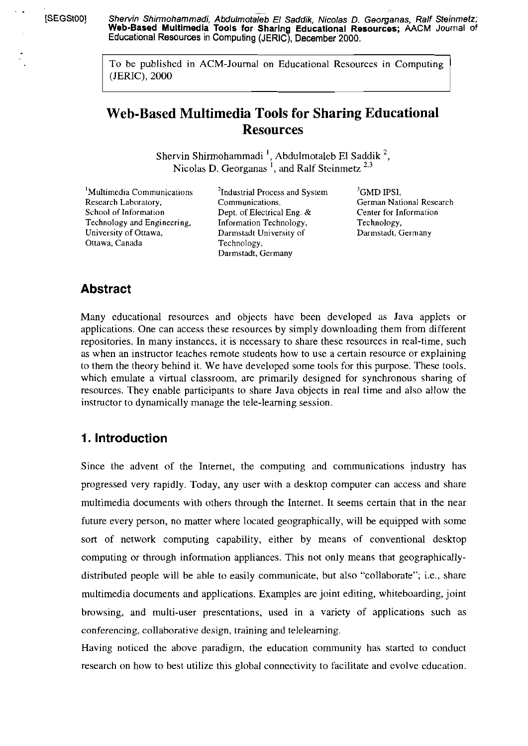[SEGSt00] Shervin Shirmohammadi, Abdulmotaleb El Saddik, Nicolas D. Georganas, Ralf Steinmetz; **Web-Based Multimedia Tools for Sharing Educational Resources; AACM Journal** of Educational Resources in Computing (JERIC). December 2000.

> To be published in ACM-Journal on Educational Resources in Computing (JERIC), 2000

# **Web-Based Multimedia Tools for Sharing Educational Resources**

Shervin Shirmohammadi<sup>1</sup>, Abdulmotaleb El Saddik<sup>2</sup>, Nicolas D. Georganas ', and Ralf Steinmetz **2.3** 

<sup>1</sup>Multimedia Communications <sup>2</sup>Industrial Process and System <sup>3</sup>GMD IPSI,<br>Research Laboratory, Communications, German Nati Research Laboratory, Communications, German National Research School of Information<br>School of Information Dept. of Electrical Eng. & Center for Information Technology and Engineering, Information Technology, Technology, Technology, University of Ottawa, Darmstadt University of Technology, Ottawa, Canada Technology,

Dept. of Electrical Eng. & Center for In<br>Information Technology, Technology, Darmstadt University of Darmstadt, Germany

## **Abstract**

Many educational resources and objects have been developed as Java applets or applications. One can access these resources by simply downloading them from different repositories. In many instances, it is necessary to share these resources in real-time, such as when an instructor teaches remote students how to use a certain resource or explaining to them the theory behind it. We have developed some tools for this purpose. These tools. which emulate a virtual classroom, are primarily designed for synchronous sharing of resources. They enable participants to share Java objects in real time and also allow the instructor to dynamically manage the tele-learning session.

## **1. lntroduction**

Since the advent of the Internet, the computing and communications industry has progressed very rapidly. Today, any User with a desktop Computer can access and share multimedia documents with others through the Internet. It seems certain that in the near future every person, no matter where located geographically, will be equipped with some sort of network computing capability, either by means of conventional desktop computing or through information appliances. This not only means that geographicallydistributed people will be able to easily communicate, but also "collaborate"; i.e., share multimedia documents and applications. Examples are joint editing, whiteboarding, joint browsing, and multi-user presentations, used in a vanety of applications such as conferencing, collaborative design, training and teleleaming.

Having noticed the above paradigm, the education community has staned to conduct research on how to best utilize this global connectivity to facilitate and evolve education.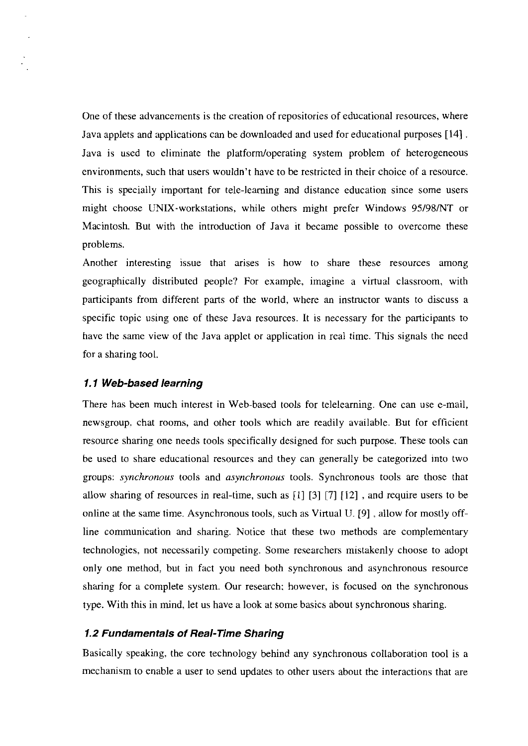One of these advancements is the creation of repositories of educational resources, where Java applets and applications can be downloaded and used for educational purposes [14] . Java is used to eliminate the platform/operating system problem of heterogeneous environments, such that users wouldn't have to be restricted in their choice of a resource. This is specially important for tele-learning and distance education since some users might choose UNIX-workstations, while others might prefer Windows 95/98/NT or Macintosh. But with the introduction of Java it became possible to overcome these problems.

Another interesting issue that arises is how to share these resources among geographically distributed people? For example, imagine a virtual classroom. with participants from different parts of the world, where an instructor wants to discuss a specific topic using one of these Java resources. It is necessary for the participants to have the same view of the Java applet or application in real time. This signals the need for a sharing tool.

#### **1.1 Web-based learning**

There has been much interest in Web-based tools for teleleaming. One can use e-mail, newsgroup. chat rooms, and other tools which are readily available. But for efficient resource sharing one needs tools specifically designed for such purpose. These tools can be used to share educational resources and they can generally be categorized into two groups: *synchronous* tools and *asynchronous* tools. Synchronous tools are those that allow sharing of resources in real-time, such as [I] **[3]** 1171 [12] , and require users to be online at the same time. Asynchronous tools, such as Virtual U. [9] , allow for mostly offline communication and sharing. Notice that these two methods are complementary technologies, not necessarily competing. Some researchers mistakenly choose to adopt only one method: but in fact you need both synchronous and asynchronous resource sharing for a complete system. Our research: however, is focused on the synchronous type. With this in mind, let us have a look at some basics about synchronous sharing.

#### **1.2 Fundamentals of Real-Time Sharing**

Basically speaking, the core technology behind any synchronous collaboration tool is a mechanism to enable a user to send updates to other users about the interactions that are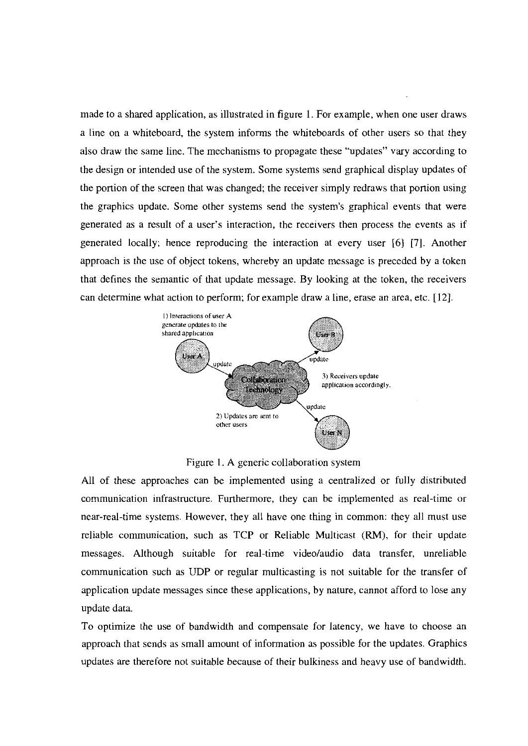made to a shared application, as illustrated in figure 1. For example, when one user draws a line on a whiteboard, the system informs the whiteboards of other users so that they also draw the same line. The mechanisms to propagate these "updates" vary according to the design or intended use of the system. Some systems send graphical display updates of the portion of the screen that was changed; the receiver simply redraws that portion using the graphics update. Some other systems send the system's graphical events that were generated as a result of a user's interaction, the receivers then process the events as if generated locally: hence reproducing the interaction at every user *[6]* [7]. Another approach is the use of object tokens, whereby an update message is preceded by a token that defines the semantic of that update message. By looking at the token, the receivers can determine what action to perform; for example draw a line, erase an area, etc. [12].



Figure 1. A generic collaboration system

All of these approaches can be implemented using a centralized or fully distributed communication infrastructure. Furthermore, they can be implemented as real-time or near-real-time systems. However, they all have one thing in common: they all must use reliable communication, such as TCP or Reliable Multicast (RM), for their update messages. Although suitable for real-time video/audio data transfer, unreliable communication such as UDP or regular multicasting is not suitable for the transfer of application update messages since these applications, by nature, cannot afford to lose any update data.

To optimize the use of bandwidth and compensate for latency, we have to choose an approach that sends as small amount of information as possible for the updates. Graphics updates are therefore not suitable because of their bulkiness and heavy use of bandwidth.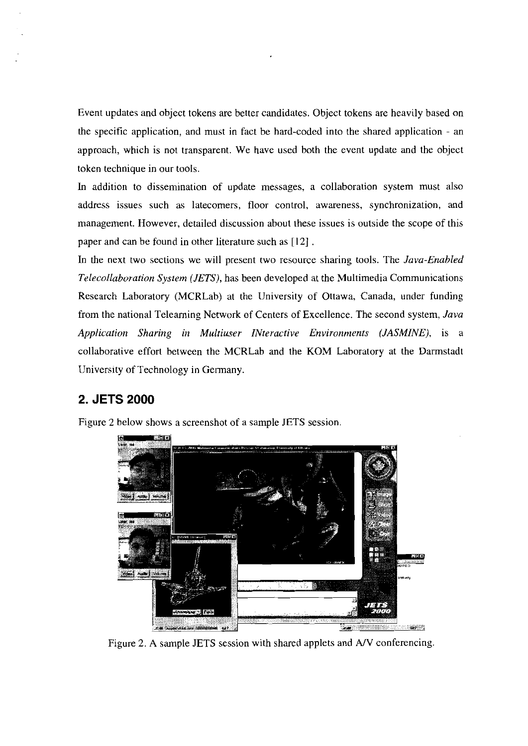Event updates and object tokens are better candidates. Object tokens are heavily based on the specific application, and must in fact be hard-coded into the shared application - an approach, which is not transparent. We have used both the event update and the object token technique in our tools

In addition to dissemination of update messages, a collaboration system must also address issues such as latecomers, floor control, awareness, synchronization. and management. However, detailed discussion about these issues is outside the scope of this paper and can be found in other literature such as [I21 .

In the next two sections we will present two resource sharing tools. The *Java-Enabled Telecollaboratinn Sysiem (JETS),* has been developed at the Multimedia Communications Research Laboratory (MCRLab) at the University of Ottawa, Canada, under funding from the national Telearning Network of Centers of Excellence. The second system, *Java Application Sharing in Multiuser INteractive Environments (JASMINE)*, is a collaborative effort between the MCRLab and the KOM Laboratory at the Darmstadt University of Technology in Gennany.

## **2. JETS 2000**

Figure 2 below shows a screenshot of a sample JETS session



Figure 2. **A** sample JETS session with shared applets and AN conferencing.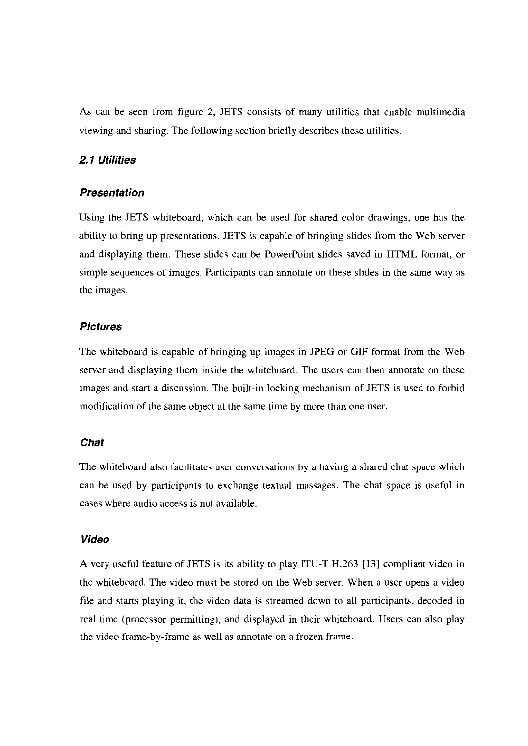As can be seen from figure 2, JETS consists of many utilities that enable multimedia viewing and sharing. The following section briefly describes these utilities.

#### 2.1 Utilities

#### **Presentation**

Using the JETS whiteboard, which can be used for shared color drawings, one has the ability to bring up presentations. JETS is capable of bringing slides from the Web server and displaying them. These slides can be PowerPoint slides saved in HTML format, or simple sequences of images. Participants can annotate on these slides in the same way as the images.

#### **Pictures**

The whiteboard is capable of bringing up images in JPEG or GIF format from the Web server and displaying them inside the whiteboard. The users can then annotate on these images and start a discussion. The built-in locking mechanism of JETS is used to forbid modification of the same object at the same time by more than one user.

### **Chat**

The whiteboard also facilitates user conversations by a having a shared chat space which can be used by pariicipants to exchange textual massages. The chat space is useful in cases wbere audio access is not available.

### **Video**

A very useful feature of JETS is its ability to play ITU-T H.263 [I31 compliant video in the whiteboard. The video must be stored on the Web server. When a user opens a video file and starts playing it, the video data is streamed down to all participants, decoded in real-time (processor permitting), and displayed in their whiteboard. Users can also play the video frame-by-frame as well as annotate on a frozen frame.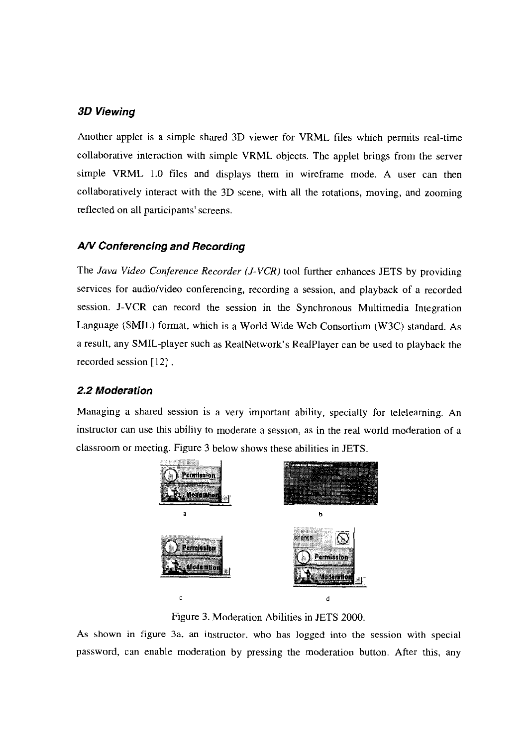### **30 Viewing**

Another applet is a simple shared 3D viewer for VRML files which permits real-time collaborative interaction with simple VRML objects. The applet brings from the server simple VRML 1.0 files and displays them in wireframe mode. A user can then collaboratively interact with the 3D Scene, with all the rotations, moving, and zooming reflected on all participants'screens.

### AN **Conferencing and Recording**

The *Java Video Conference Recorder (J-VCR)* tool further enhances JETS by providing services for audio/video conferencing, recording a session. and playback of a recorded session. J-VCR can record the session in the Synchronous Multimedia Integration Language (SMIL) format, which is a World Wide Web Consortium (W3C) standard. As a result, any SMIL-player such as RealNetwork's RealPlayer can be used to playback the recorded session **[12]** .

### **2.2 Moderation**

Managing a shared session is a very important ability, specially for telelearning. An instmctor can use this ability to moderate a session, as in the real world moderation of a classroom or meeting. Figure 3 below shows these abilities in JETS.



Figure 3. Moderation Abilities in JETS 2000.

As shown in figure **3a.** an instmctor. who has logged into the session with special password, can enable moderation by pressing the moderation button. After this, any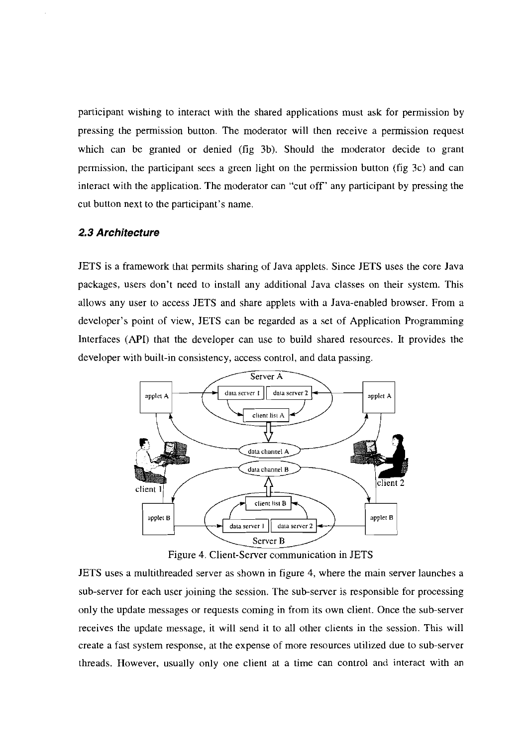participant wishing to interact with the shared applications must ask for permission by pressing the permission button. The moderator will then receive a permission request which can be granted or denied (fig 3b). Should the moderator decide to grant permission, the participant sees a green light on the permission button (fig 3c) and can interact with the application. The moderator can "cut off' any participant by pressing the cut button next to the participant's name.

#### **2.3 Architecture**

JETS is a framework that permits sharing of Java applets. Since JETS uses the core Java packages. Users don't need to install any additional Java classes on their system. This allows any User to access JETS and share applets with a Java-enabled browser. From a developer's point of view, JETS can be regarded as a set of Application Programming Interfaces **(API)** that the developer can use to build shared resources. It provides the developer with built-in consistency, access control, and data passing.



Figure 4. Client-Server communication in JETS

JETS uses a multithreaded server as shown in figure 4, where the main server launches a sub-server for each user joining the session. The sub-server is responsible for processing only the update messages or requests coming in from its own client. Once the sub-server receives the update message, it will send it to all other clients in the session. This will create a fast system response, at the expense of more resources utilized due to sub-server threads. However, usually only one client at a time can control and interact with an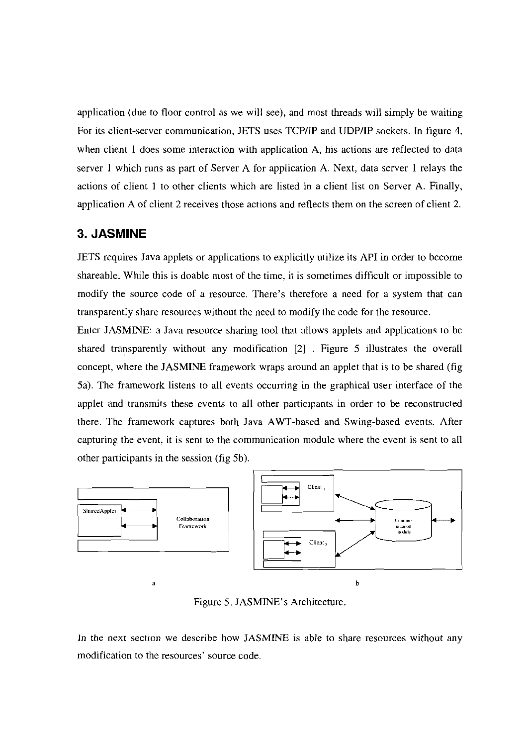application (due to floor control as we will see), and most threads will simply be waiting For its client-server communication, JETS uses TCP/IP and UDP/IP sockets. In figure 4, when client 1 does some interaction with application A, his actions are reflected to data server 1 which runs as part of Server A for application A. Next, data server 1 relays the actions of client 1 to other clients which are listed in a client list on Server A. Finally, application A of client 2 receives those actions and reflects them on the screen of client 2.

## **3. JASMINE**

JETS requires Java applets or applications to explicitly utilize its API in order to become shareable. While this is doable most of the time, it is sometimes difficult or impossible to modify the source code of a resource. There's therefore a need for a System that can transparently share resources without the need to modify the code for the resource.

Enter JASMINE: a Java resource sharing tool that allows applets and applications to be shared transparently without any modification [2] . Figure 5 illustrates the overall concept, where the JASMINE framework wraps around an applet that is to be shared (fig 5a). The framework listens to all events occurring in the graphical User interface of the applet and transmits these events to all other participants in order to be reconstructed there. The framework captures both Java AWT-based and Swing-based events. After capturing the event, it is sent to the communication module where the event is sent to all other participants in the session (fig 5b).



Figure 5. JASMINE'S Architecture.

In the next section we describe how JASMINE is able to share resources without any modification to the resources' source code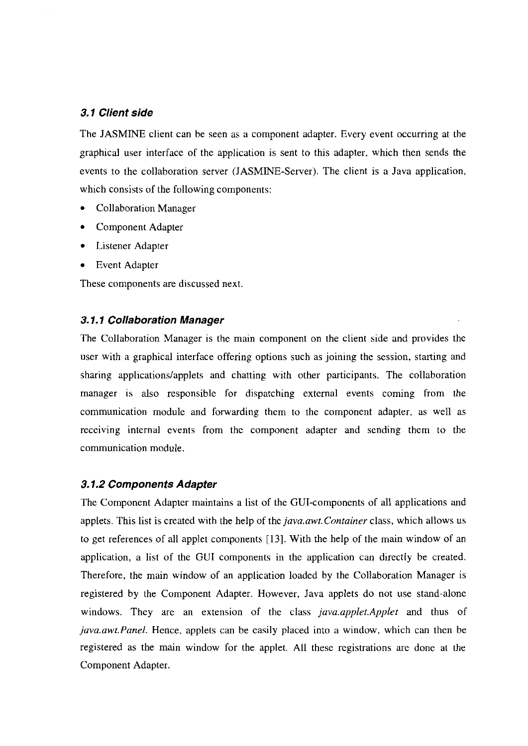#### **3.1 Client side**

The JASMINE client can be seen as a component adapter. Every event occurring at the graphical User interface of the application is sent to this adapter. which then sends the events to the collaboration server (JASMWE-Server). The client is a Java application, which consists of the following components:

- Collaboration Manager
- $\bullet$ Component Adapter
- Listener Adapter
- Event Adapter

These components are discussed next.

### **3.1.1 Collaboration Manager**

The Collaboration Manager is the main component on the client side and provides the user with a graphical interface offering options such as joining the session, starting and sharing applications/applets and chatting with other participants. The collaboration manager is also responsible for dispatching external events coming from the communication module and fonvarding them to the component adapter, as well as receiving internal events from the component adapter and sending them to the communication module.

#### **3.1.2 Components Adapter**

The Component Adapter maintains a list of the GUI-components of all applications and applets. This list is created with the help of the *java.awt.Container* class, which allows us to get references of all applet components [13]. With the help of the main window of an applicaiion, a list of the GUI components in the application can directly be created. Therefore, the main window of an application loaded by the Collaboration Manager is registered by the Component Adapter. However, Java applets do not use stand-alone windows. They are an extension of the class *java.applet.Applet* and thus of *java.awt.Panel.* Hence, applets can be easily placed into a window, which can then be registered as the main window for the applet. All these registrations are done at the Component Adapter.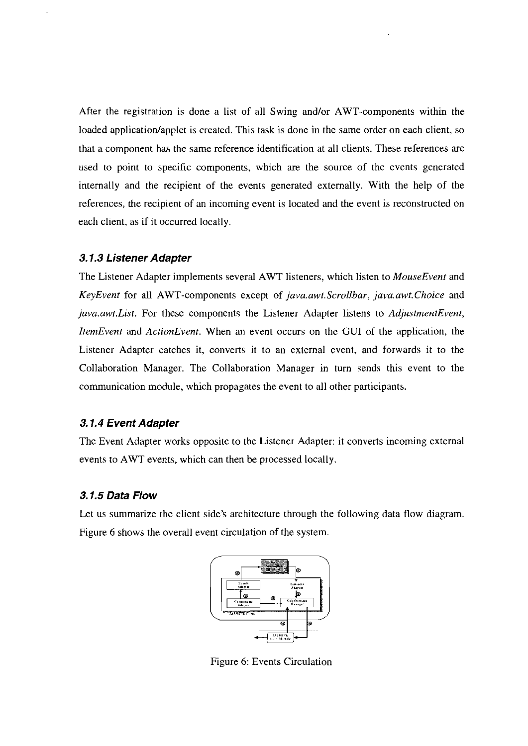After the registration is done a list of all Swing and/or AWT-components within the loaded application/applet is created. This task is done in the same order on each client, so that a component has the same reference identification at all clients. These references are used to point to specific components, which are the source of the events generated intemally and the recipient of the events generated extemally. With the help of the references, the recipient of an incoming event is located and the event is reconstructed on each client, as if it occurred locally.

### **3.1.3 Listener Adapter**

The Listener Adapter implements several AWT listeners, which listen to *MouseEvent* and *KeyEvent* for all AWT-components except of *java.awt.Scrollbar, java.awt.Choice* and *,java.awt.List.* For these components the Listener Adapter listens to *AdjustmentEvent, ItemEvent* and *ActionEvent.* When an event occurs on the GUI of the application, the Listener Adapter catches it, converts it to an external event, and forwards it to the Collaboration Manager. The Collaboration Manager in turn sends this event to the cornmunication module, which propagates the event to all other participants.

### **3.1.4 Event Adapter**

The Event Adapter works opposite to the Listener Adapter: it converts incoming extemal events to AWT events, which can then be processed locally.

### **3.1.5 Data Flow**

Let us summarize the client side's architecture through the following data flow diagram. Figure 6 shows the overall event circulation of the system.



Figure 6: Events Circulation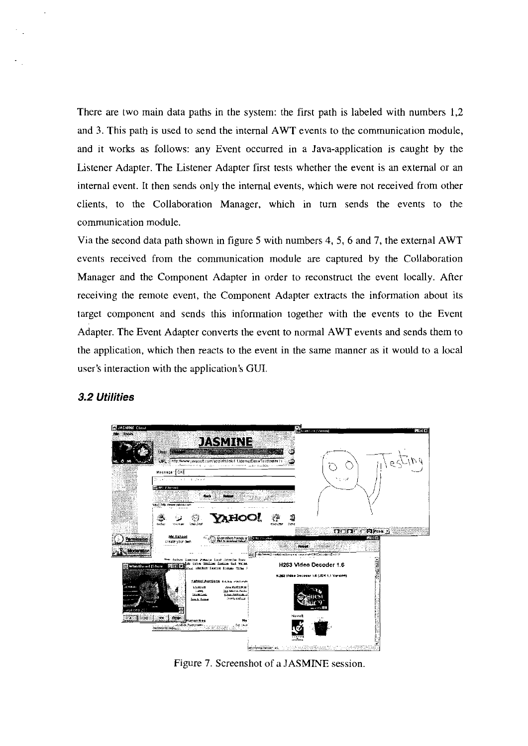There are two main data paths in the system: the first path is labeled with numbers 1,2 and **3.** This path is used to send the intemal AWT events to the communication module, and it works as follows: any Event occurred in a Java-application is caught by the Listener Adapter. The Listener Adapter first tests whether the event is an extemal or an internal event. It then sends only the intemal events, which were not received from other clients, to the Collaboration Manager, which in tum sends the events to the communication module.

Via the second data path shown in figure 5 with numbers 4, 5, 6 and 7, the extemal AWT events received from the communication module are captured by the Collaboration Manager and the Component Adapter in order to reconstruct the event locally. After receiving the rernote event, the Component Adapter extracts the information about its target component and sends this information together with the events to the Event Adapter. The Event Adapter converts the event to normal AWT events and sends them to the application, which then reacts to the event in the same manner as it would to a local user's interaction with the application's GUI.



### **3.2 Utilities**

Figure 7. Screenshot of a JASMINE session.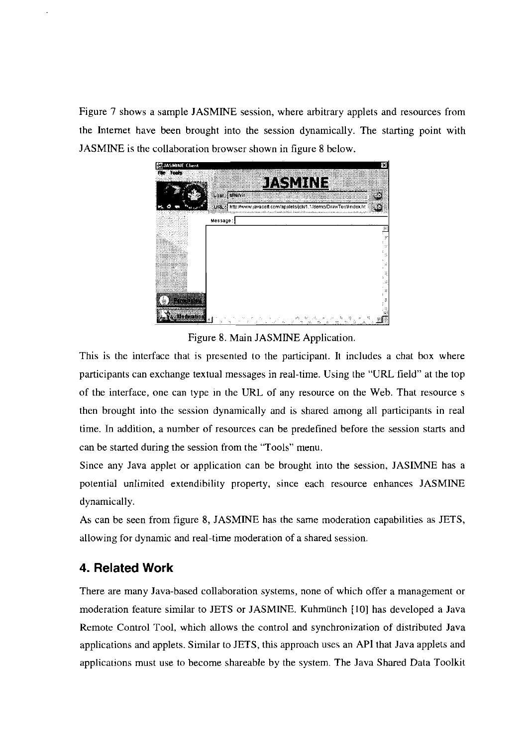Figure 7 shows a sarnple JASMINE session, where arbitrary applets and resources frorn the Intemet have been brought into the session dynarnically. The starting point with JASMINE is the collaboration browser shown in figure 8 below.



Figure 8. Main JASMINE Application.

This is the interface that is presented to the participant. It includes a chat box where participants can exchange textual messages in real-time. Using the "URL field" at the top of the interface, one can type in the URL of any resource on the Web. That resource s then brought into the session dynamically and is shared among all participants in real time. In addition, a nurnber of resources can be predefined before the session starts and can be started during the session from the "Tools" menu.

Since any Java applet or application can be brought into the session, JASIMNE has a potential unlirnited extendibility property, since each resource enhances JASMINE dynamically.

As can be seen from figure 8, JASMINE has the same moderation capabilities as JETS, allowing for dynamic and real-time moderation of a shared session.

# **4. Related Work**

There are many Java-based collaboration systems, none of which offer a management or moderation feature similar to JETS or JASMINE. Kuhrnünch [I01 has developed a Java Rernote Control Tool, which allows the control and synchronization of distributed Java applications and applets. Similar to JETS, this approach uses an API that Java applets and applications must use to become shareable by the system. The Java Shared Data Toolkit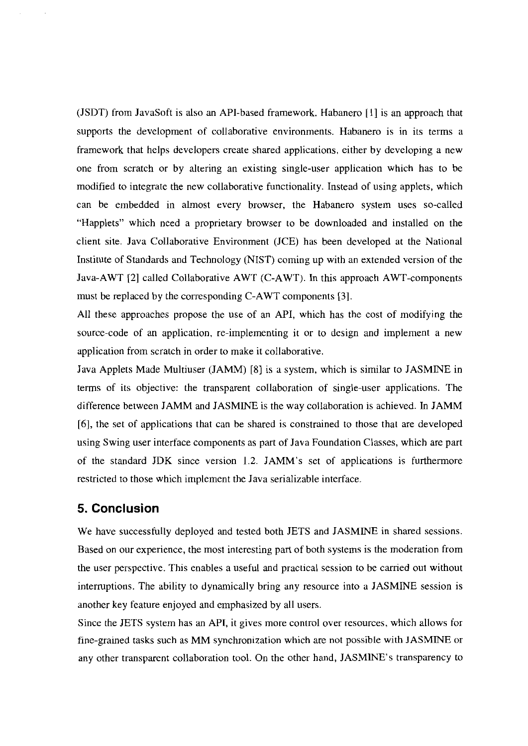(JSDT) frorn JavaSoft is also an API-based frarnework. Habanero [I] is an approach that supports the development of collaborative environments. Habanero is in its terms a framework that helps developers create shared applications, either by developing a new one frorn scratch or by altering an existing single-user application which has to be rnodified to integrate the new collaborative functionality. Instead of using applets, which can be embedded in almost every browser, the Habanero systern uses so-called "Happlets" which need a proprietary browser to be downloaded and installed on the client site. Java Collaborative Environment (JCE) has been developed at the National Institute of Standards and Technology (NIST) corning up with an extended version of the Java-AWT [2] called Collaborative AWT (C-AWT). In this approach AWT-cornponents rnust be replaced by the corresponding C-AWT components [3].

All these approaches propose the use of an API, which has the cost of modifying the source-code of an application, re-irnplernenting it or to design and irnplement a new application from scratch in order to make it collaborative.

Java Applets Made Multiuser (JAMM) [8] is a system, which is sirnilar to JASMINE in tenns of its objective: the transparent collaboration of single-user applications. The difference between JAMM and JASMINE is the way collaboration is achieved. In JAMM *[6],* the set of applications that can be shared is constrained to those that are developed using Swing user interface components as part of Java Foundation Classes, which are part of the standard JDK since version 1.2. JAMM's set of applications is furthennore restricted to those which implement the Java serializable interface.

### **5. Conclusion**

We have successfully deployed and tested both JETS and JASMINE in shared sessions. Based on our experience, the most interesting part of both systems is the moderation from the User perspective. This enables a useful and practical session to be carried out without intemptions. The ability to dynamically bring any resource into a JASMINE session is another key feature enjoyed and emphasized by all users.

Since the JETS system has an API, it gives rnore control over resources, which allows for fine-grained tasks such as MM synchronization which are not possible with JASMINE or any other transparent collaboration tool. On the other hand, JASMINE'S transparency to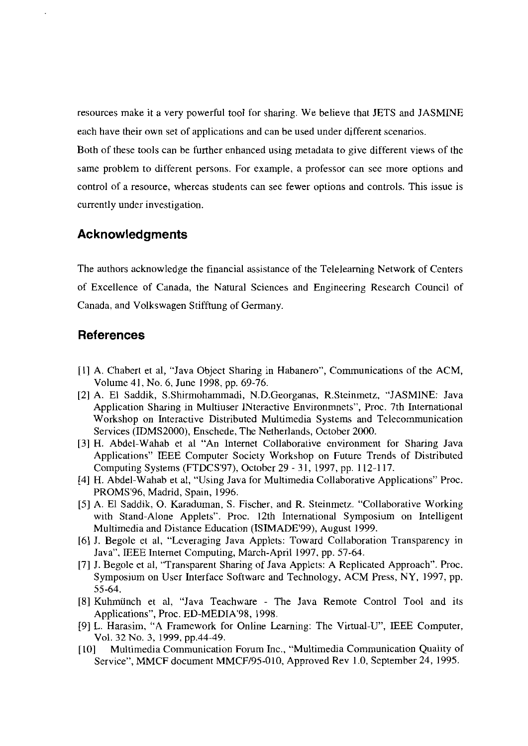resources make it a very powerful tool for sharing. We believe that JETS and JASMINE each have their own set of applications and can be used under different scenarios.

Both of these tools can be further enhanced using metadata to give different views of the same problem to different persons. For example. a professor can see more options and control of a resource, whereas students can see fewer options and controls. This issue is currently under investigation.

### **Acknowledgments**

The authors acknowledge the financial assistance of the Telelearning Network of Centers of Excellence of Canada, the Natural Sciences and Engineering Research Council of Canada. and Volkswagen Stifftung of Germany.

### **References**

- [I] A. Chabert et al, "Java Object Sharing in Habanero", Communications of the ACM, Volume 41, No. 6. June 1998. pp. 69-76.
- [2] A. E1 Saddik, S.Shirmohammadi, N.D.Georganas, R.Steinmetz, "JASMINE: Java Application Sharing in Multiuser INteractive Environmnets", Proc. 7th International Workshop on Interactive Distributed Multimedia Systems and Telecomunication Services (IDMS2000), Enschede, The Netherlands, October 2000.
- [3] H. Abdel-Wahab et al "An Internet Collaborative environment for Sharing Java Applications" IEEE Computer Society Workshop on Future Trends of Distributed Computing Systems (FTDCS'97), October 29 - 31, 1997, pp. 112-1 17.
- [4] H. Abdel-Wahab et al, "Using Java for Multimedia Collaborative Applications" Proc. PROMS'96, Madrid, Spain, 1996.
- [5] A. EI Saddik, 0. Karaduman, S. Fischer, and R. Steinmetz. "Collaborative Working with Stand-Alone Applets". Proc. 12th International Symposium on Intelligent Multimedia and Distance Education (ISIMADE'99), August 1999.
- [6] J. Begole et al, "Leveraging Java Applets: Toward Collaboration Transparency in Java". IEEE Internet Computing, March-April 1997, pp. 57-64.
- [7] J. Begole et al, "Transparent Sharing of Java Applets: A Replicated Approach". Proc. Symposium on User Interface Software and Technology, ACM Press, NY, 1997, pp. 55-64.
- [E] Kuhmünch et al, "Java Teachware The Java Remote Control Tool and its Applications", Proc. ED-MEDIA'98, 1998.
- [9] L. Harasim, "A Framework for Online Learning: The Virtual-U", IEEE Computer, Vol. 32 No. 3, 1999. pp.44-49.
- [I01 Multimedia Communication Forum Inc., "Multimedia Communication Quality of Service", MMCF document MMCF/95-010, Approved Rev 1.0, September 24, 1995.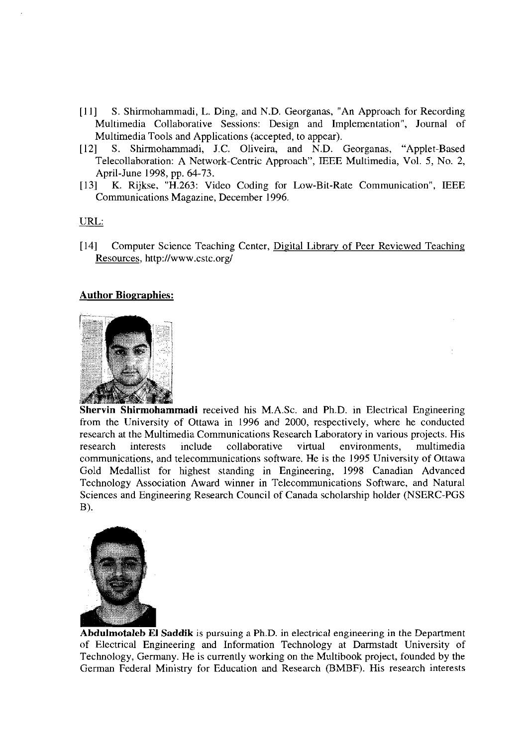- [11] S. Shirmohammadi, L. Ding, and N.D. Georganas, "An Approach for Recording Multimedia Collaborative Sessions: Design and Implementation", Journal of Multimedia Tools and Applications (accepted, to appear).
- [12] S. Shirmohammadi, J.C. Oliveira, and N.D. Georganas, "Applet-Based Telecollaboration: A Network-Centric Approach", IEEE Multimedia, Vol. 5, No. 2, April-June 1998, pp. 64-73.
- [I31 K. Rijkse, "H.263: Video Coding for Low-Bit-Rate Communication", IEEE Communications Magazine, December 1996.

#### URL:

[I41 Computer Science Teaching Center, Digital Library of Peer Reviewed Teaching Resources, http://www.cstc.org/

### **Author Biographies:**



**Shervin Shirmohammadi** received his M.A.Sc. and Ph.D. in Electrical Engineering from the University of Ottawa in 1996 and 2000, respectively, where he conducted research at the Multimedia Communications Research Laboratory in various projects. His research interests include collaborative virtual environments, multimedia communications, and telecommunications software. He is the 1995 University of Ottawa Gold Medallist for highest standing in Engineering, 1998 Canadian Advanced Technology Association Award winner in Telecommunications Software, and Natural Sciences and Engineering Research Council of Canada scholarship holder (NSERC-PGS B).



Abdulmotaleb El Saddik is pursuing a Ph.D. in electrical engineering in the Department of Electrical Engineering and Information Technology at Darmstadt University of Technology, Germany. He is currently working on the Multibook project, founded by the German Federal Ministry for Education and Research (BMBF). His research interests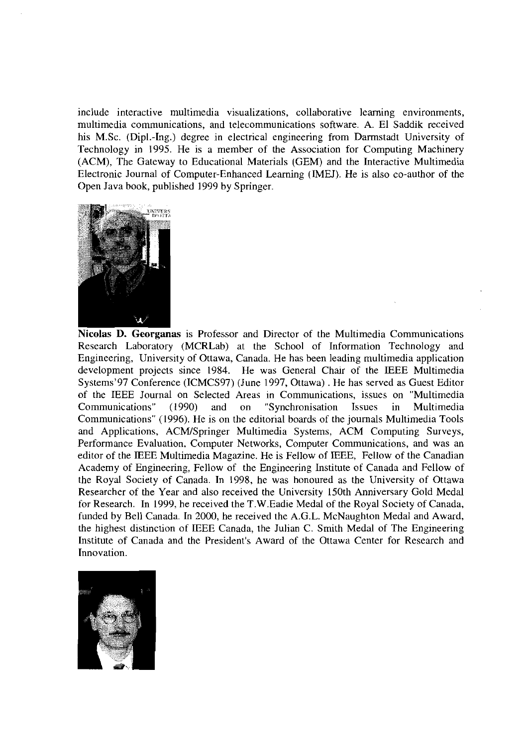include interactive multimedia visualizations, collaborative leaming environments, multimedia comrnunications, and telecommunications Software. A. E1 Saddik received his M.Sc. (Dipl.-lng.) degree in electrical engineering from Darmstadt University of Technology in 1995. He is a member of the Association for Computing Machinery (ACM), The Gateway to Educational Materials (GEM) and the Interactive Multimedia Electronic Journal of Computer-Enhanced Learning (IMEJ). He is also CO-author of the Open Java book, published 1999 by Springer.



Nicolas D. Georganas is Professor and Director of the Multimedia Communications Research Laboratory (MCRLab) at the School of Information Technology and Engineering, University of Ottawa, Canada. He has been leading multimedia application development projects since 1984. He was General Chair of the EEE Multimedia Systems'97 Conference (ICMCS97) (June 1997, Ottawa) . He has served as Guest Editor of the IEEE Journal on Selected Areas in Communications, issues on "Multimedia Communications" (1990) and on "Synchronisation Issues in Multimedia Communications" (1996). He is on the editorial boards of the journals Multimedia Tools and Applications, ACMISpringer Multimedia Systems, ACM Computing Surveys, Performance Evaluation, Computer Networks, Computer Communications, and was an editor of the EEE Multimedia Magazine. He is Fellow of IEEE, Fellow of the Canadian Academy of Engineering, Fellow of the Engineering Institute of Canada and Fellow of the Royal Society of Canada. In 1998, he was honoured as the University of Ottawa Researcher of the Year and also received the University 150th Anniversary Gold Medal for Research. In 1999, he received the T.W.Eadie Medal of the Royal Society of Canada, funded by Bell Canada. In 2000, he received the A.G.L. McNaughton Medal and Award, the highest distinction of IEEE Canada, the Julian C. Smith Medal of The Engineering Institute of Canada and the President's Award of the Ottawa Center for Research and Innovation.